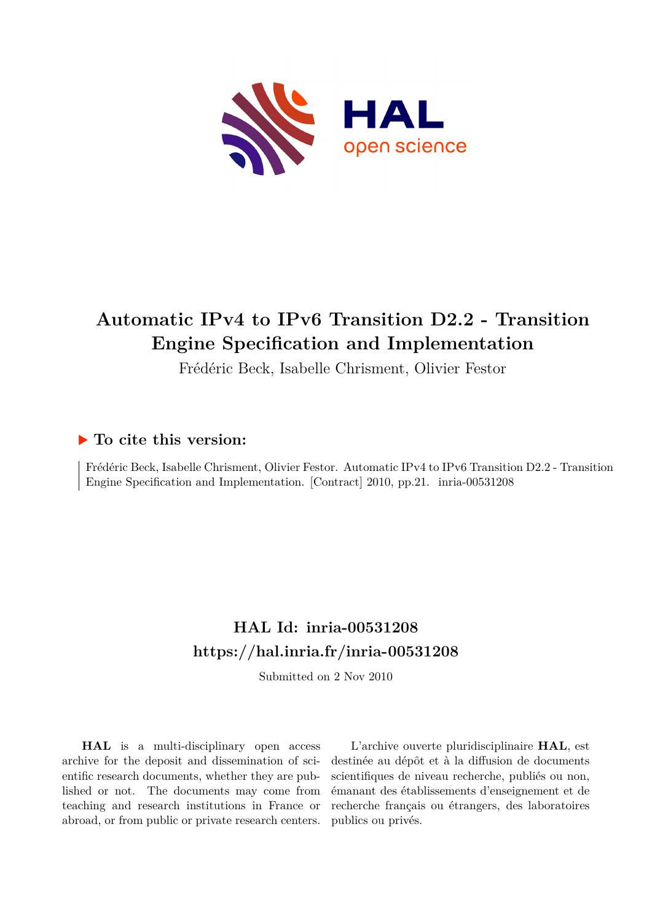

### **Automatic IPv4 to IPv6 Transition D2.2 - Transition Engine Specification and Implementation**

Frédéric Beck, Isabelle Chrisment, Olivier Festor

### **To cite this version:**

Frédéric Beck, Isabelle Chrisment, Olivier Festor. Automatic IPv4 to IPv6 Transition D2.2 - Transition Engine Specification and Implementation. [Contract] 2010, pp.21. inria-00531208

### **HAL Id: inria-00531208 <https://hal.inria.fr/inria-00531208>**

Submitted on 2 Nov 2010

**HAL** is a multi-disciplinary open access archive for the deposit and dissemination of scientific research documents, whether they are published or not. The documents may come from teaching and research institutions in France or abroad, or from public or private research centers.

L'archive ouverte pluridisciplinaire **HAL**, est destinée au dépôt et à la diffusion de documents scientifiques de niveau recherche, publiés ou non, émanant des établissements d'enseignement et de recherche français ou étrangers, des laboratoires publics ou privés.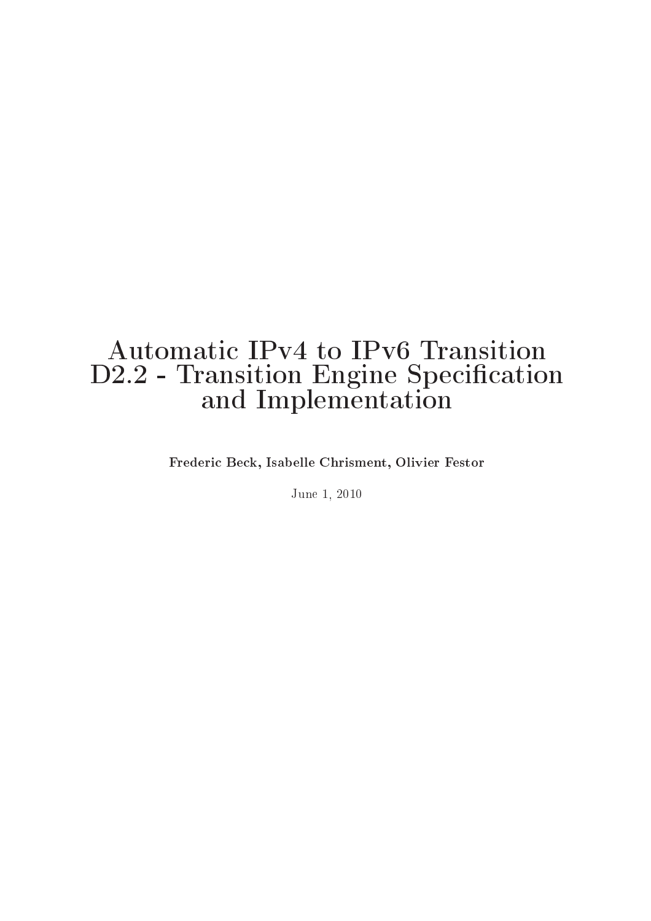## Automati IPv4 to IPv6 Transition D2.2 - Transition Engine Spe
i
ation and Implementation in the control of the control of the control of the control of the control of the control o

Frederi Be
k, Isabelle Chrisment, Olivier Festor

June 1, <sup>2010</sup>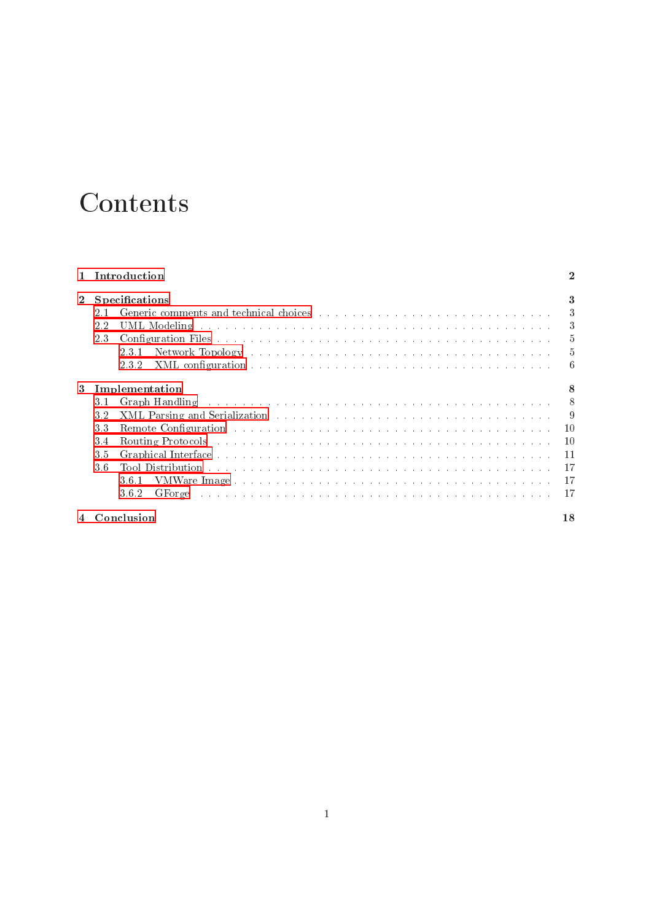# **Contents**

|   |     | Introduction                                                                                                                                                                                                                            |                |
|---|-----|-----------------------------------------------------------------------------------------------------------------------------------------------------------------------------------------------------------------------------------------|----------------|
|   |     | Specifications                                                                                                                                                                                                                          |                |
|   | 2.1 |                                                                                                                                                                                                                                         | $\mathcal{S}$  |
|   | 2.2 |                                                                                                                                                                                                                                         | 3              |
|   | 2.3 |                                                                                                                                                                                                                                         | -5             |
|   |     | Network Topology (and a series are a series and a series are a series and a series are a series and a series of $\mathbb{R}^n$<br>2.3.1                                                                                                 | -5             |
|   |     | 2.3.2                                                                                                                                                                                                                                   | -6             |
| 3 |     | Implementation                                                                                                                                                                                                                          |                |
|   | 3.1 |                                                                                                                                                                                                                                         | 8              |
|   | 3.2 | XML Parsing and Serialization (a) and a series and a series of the series of the series of the series of the series of the series of the series of the series of the series of the series of the series of the series of the s          | $\overline{9}$ |
|   | 3.3 | Remote Configuration and account to the contract of the contract of the configuration and account to the contract of the contract of the contract of the contract of the contract of the contract of the contract of the contr          |                |
|   | 3.4 | Routing Protocols (and a contract of a contract of a contract of a contract of a contract of a contract of a contract of a contract of a contract of a contract of a contract of a contract of $\mathbb{R}^n$                           | 10             |
|   | 3.5 |                                                                                                                                                                                                                                         | 11             |
|   | 3.6 |                                                                                                                                                                                                                                         | 17             |
|   |     | 3.6.1                                                                                                                                                                                                                                   | 17             |
|   |     | GForge condition and account and account and account and account and account and account account account account account account account account account account account account account account account account account accou<br>3.6.2 | 17             |
|   |     | Conclusion                                                                                                                                                                                                                              | 18             |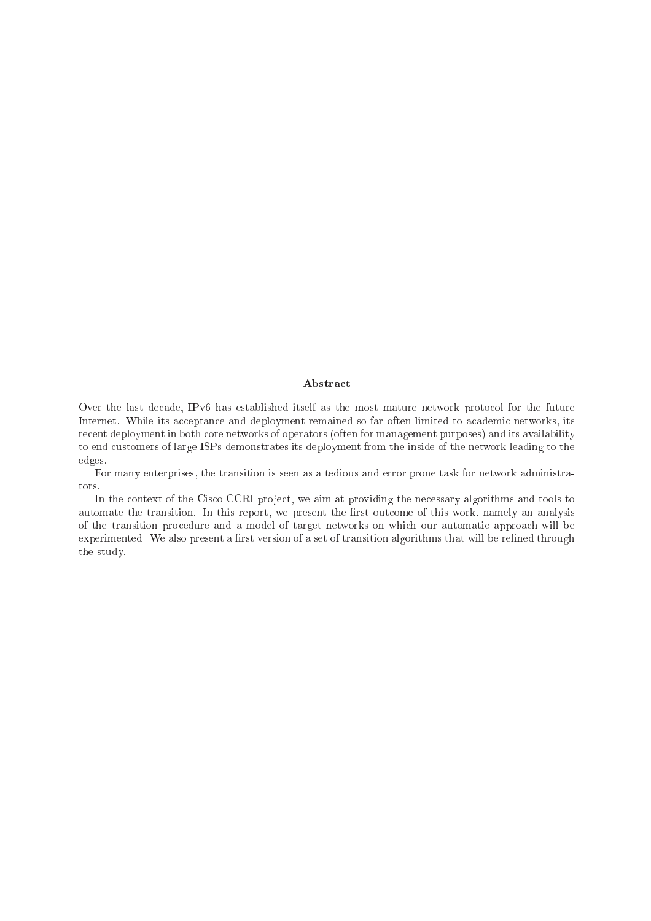### Abstra
t

Over the last decade, IPv6 has established itself as the most mature network protocol for the future Internet. While its acceptance and deployment remained so far often limited to academic networks, its recent deployment in both core networks of operators (often for management purposes) and its availability to end ustomers of large ISPs demonstrates its deployment from the inside of the network leading to the edges.

For many enterprises, the transition is seen as a tedious and error prone task for network administrators.

In the context of the Cisco CCRI project, we aim at providing the necessary algorithms and tools to automate the transition. In this report, we present the first outcome of this work, namely an analysis of the transition pro
edure and a model of target networks on whi
h our automati approa
h will be experimented. We also present a first version of a set of transition algorithms that will be refined through the study.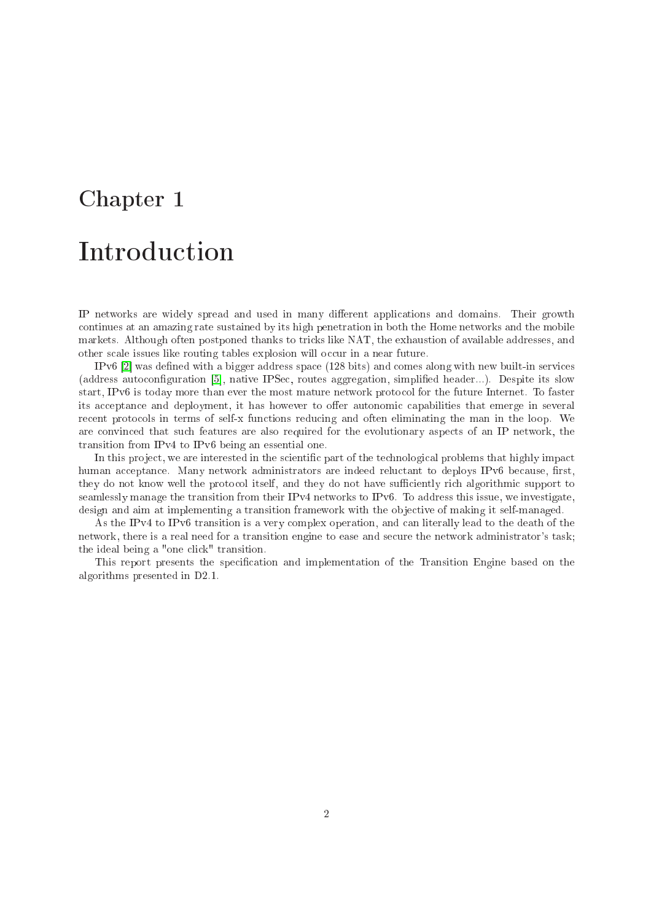<span id="page-4-0"></span>IP networks are widely spread and used in many different applications and domains. Their growth ontinues at an amazing rate sustained by its high penetration in both the Home networks and the mobile markets. Although often postponed thanks to tricks like NAT, the exhaustion of available addresses, and other scale issues like routing tables explosion will occur in a near future.

IPv6 [2] was defined with a bigger address space  $(128 \text{ bits})$  and comes along with new built-in services (address autoconfiguration [5], native IPSec, routes aggregation, simplified header...). Despite its slow start, IPv6 is today more than ever the most mature network proto
ol for the future Internet. To faster its acceptance and deployment, it has however to offer autonomic capabilities that emerge in several recent protocols in terms of self-x functions reducing and often eliminating the man in the loop. We are onvin
ed that su
h features are also required for the evolutionary aspe
ts of an IP network, the transition from IPv4 to IPv6 being an essential one.

In this project, we are interested in the scientific part of the technological problems that highly impact human acceptance. Many network administrators are indeed reluctant to deploys IPv6 because, first, they do not know well the protocol itself, and they do not have sufficiently rich algorithmic support to seamlessly manage the transition from their IPv4 networks to IPv6. To address this issue, we investigate, design and aim at implementing a transition framework with the objective of making it self-managed.

As the IPv4 to IPv6 transition is a very omplex operation, and an literally lead to the death of the network, there is a real need for a transition engine to ease and secure the network administrator's task; the ideal being a "one click" transition.

This report presents the specification and implementation of the Transition Engine based on the algorithms presented in D2.1.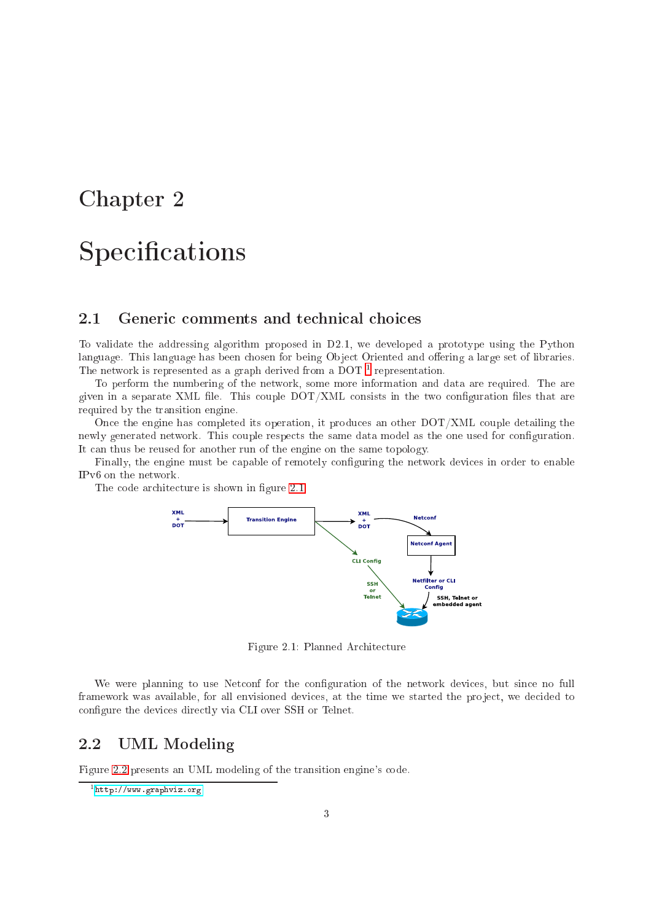## <span id="page-5-0"></span>**Specifications**

### <span id="page-5-1"></span>2.1

To validate the addressing algorithm proposed in D2.1, we developed a prototype using the Python language. This language has been chosen for being Object Oriented and offering a large set of libraries. The network is represented as a graph derived from a DOT [1](#page-5-3) representation.

To perform the numbering of the network, some more information and data are required. The are given in a separate XML file. This couple  $\text{DOT}/\text{XML}$  consists in the two configuration files that are required by the transition engine.

Once the engine has completed its operation, it produces an other  $\text{DOT} / \text{XML}$  couple detailing the newly generated network. This couple respects the same data model as the one used for configuration. It an thus be reused for another run of the engine on the same topology.

Finally, the engine must be capable of remotely configuring the network devices in order to enable IPv6 on the network.

The code architecture is shown in figure [2.1.](#page-5-4)



<span id="page-5-4"></span>Figure 2.1: Planned Ar
hite
ture

We were planning to use Netconf for the configuration of the network devices, but since no full framework was available, for all envisioned devices, at the time we started the project, we decided to configure the devices directly via CLI over SSH or Telnet.

#### <span id="page-5-2"></span>2.2UML Modeling

Figure [2.2](#page-6-0) presents an UML modeling of the transition engine's code.

<span id="page-5-3"></span><sup>1</sup> <http://www.graphviz.org>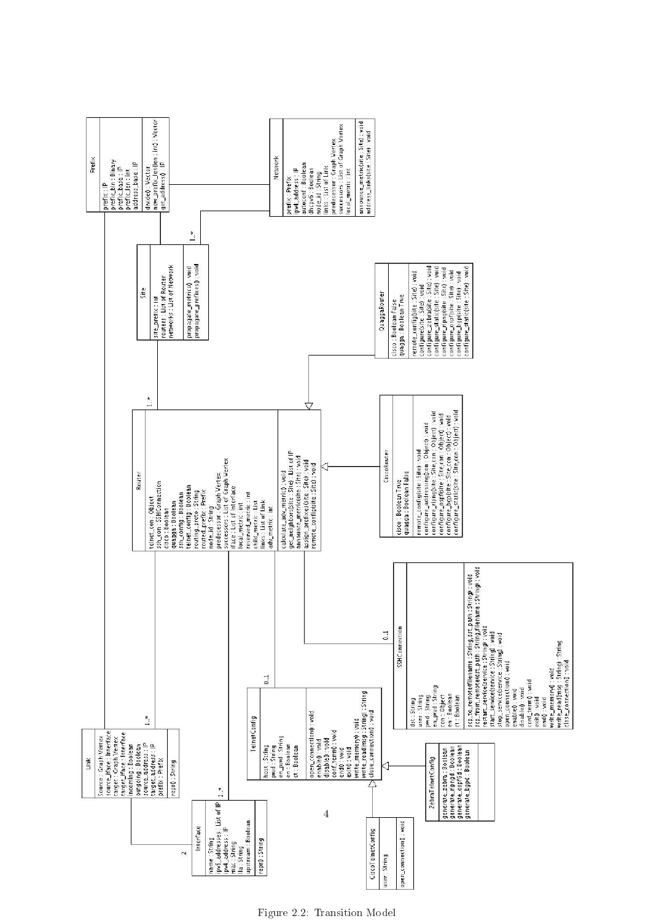

<span id="page-6-0"></span>Figure 2.2: Transition Model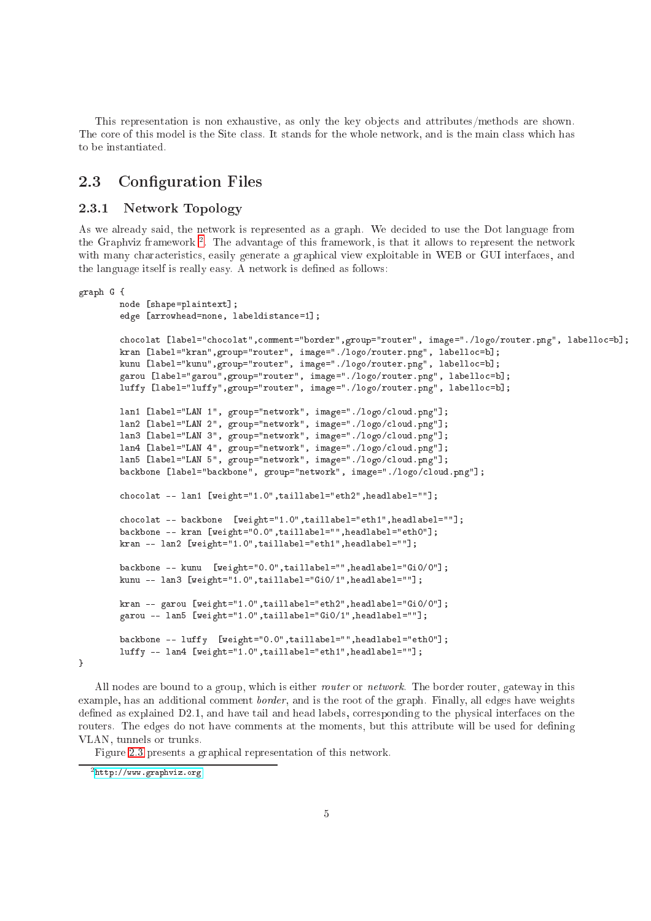This representation is non exhaustive, as only the key objects and attributes/methods are shown. The core of this model is the Site class. It stands for the whole network, and is the main class which has to be instantiated.

#### <span id="page-7-0"></span>2.3Configuration Files

#### <span id="page-7-1"></span>2.3.1Network Topology

As we already said, the network is represented as a graph. We decided to use the Dot language from the Graphviz framework =. The advantage of this framework, is that it allows to represent the network with many characteristics, easily generate a graphical view exploitable in WEB or GUI interfaces, and the language itself is really easy. A network is defined as follows:

```
graph G {
        node [shape=plaintext];
        edge [arrowhead=none, labeldistance=1];
        chocolat [label="chocolat", comment="border", group="router", image="./logo/router.png", labelloc=b];
        kran [label="kran", group="router", image="./logo/router.png", labelloc=b];
        kunu [label="kunu", group="router", image="./logo/router.png", labelloc=b];
        garou [label="garou", group="router", image="./logo/router.png", labelloc=b];
        luffy [label="luffy", group="router", image="./logo/router.png", labelloc=b];
        lan1 [label="LAN 1", group="network", image="./logo/cloud.png"];
        lanz label="label="logo", image="./logo/". in the settlement of the settlement of the settlement of the settle
        landas in loud.providence in the logo control of the control of the control of the control of the control of t
        latel (label="Label", group"-"loud.prg", inage="./logo/image=".
        latel (label="Label", group"-"network", image="./logo/intervalue.jp
        backbone [label="backbone", group="network", image="./logo/cloud.png"];
        chocolat -- lan1 [weight="1.0",taillabel="eth2",headlabel=""];
        chocolat -- backbone [weight="1.0",taillabel="eth1",headlabel=""];
        backbone -- kran [weight="0.0",taillabel="",headlabel="eth0"];
        kran -- lan2 [weight="1.0",taillabel="eth1",headlabel=""];
        backbone -- kunu [weight="0.0",taillabel="",headlabel="Gi0/0"];
        kunu -- lan3 [weight="1.0",taillabel="GiO/1",headlabel=""];
        kran -- garou [weight="1.0",taillabel="eth2",headlabel="GiO/O"];
        garou -- lan5 [weight="1.0",taillabel="Gi0/1",headlabel=""];
        backbone -- luffy [weight="0.0",taillabel="",headlabel="eth0"];
        luffy -- lan4 [weight="1.0",taillabel="eth1",headlabel=""];
}
```
All nodes are bound to a group, which is either *router* or *network*. The border router, gateway in this example, has an additional omment border, and is the root of the graph. Finally, all edges have weights defined as explained D2.1, and have tail and head labels, corresponding to the physical interfaces on the routers. The edges do not have comments at the moments, but this attribute will be used for defining VLAN, tunnels or trunks.

Figure [2.3](#page-8-1) presents a graphi
al representation of this network.

<span id="page-7-2"></span><sup>2</sup> <http://www.graphviz.org>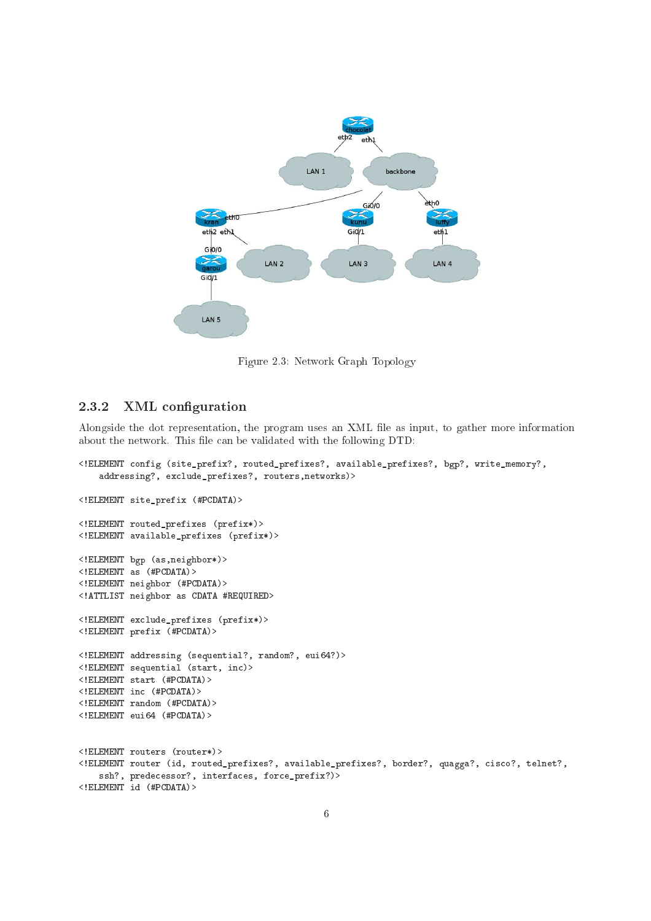

<span id="page-8-1"></span>Figure 2.3: Network Graph Topology

### <span id="page-8-0"></span>2.3.2 XML configuration

Alongside the dot representation, the program uses an XML file as input, to gather more information about the network. This file can be validated with the following DTD:

```
<!ELEMENT 
onfig (site_prefix?, routed_prefixes?, available_prefixes?, bgp?, write_memory?,
   addressing?, ex
lude_prefixes?, routers,networks)>
<!ELEMENT site_prefix (#PCDATA)>
<!ELEMENT routed_prefixes (prefix*)>
<!ELEMENT available_prefixes (prefix*)>
<!ELEMENT bgp (as,neighbor*)>
\leq!ELEMENT as (\text{#PCDATA})<!ELEMENT neighbor (#PCDATA)>
<!ATTLIST neighbor as CDATA #REQUIRED>
<!ELEMENT ex
lude_prefixes (prefix*)>
<!ELEMENT prefix (#PCDATA)>
<!ELEMENT addressing (sequential?, random?, eui64?)>
<!ELEMENT sequential (start, in
)>
<!ELEMENT start (#PCDATA)>
<!ELEMENT in
 (#PCDATA)>
<!ELEMENT random (#PCDATA)>
<!ELEMENT eui64 (#PCDATA)>
<!ELEMENT routers (router*)>
<! ELEMENT router (id, routed_prefixes?, available_prefixes?, border?, quagga?, cisco?, telnet?,
   ssh?, predecessor?, interfaces, force_prefix?)>
<!ELEMENT id (#PCDATA)>
```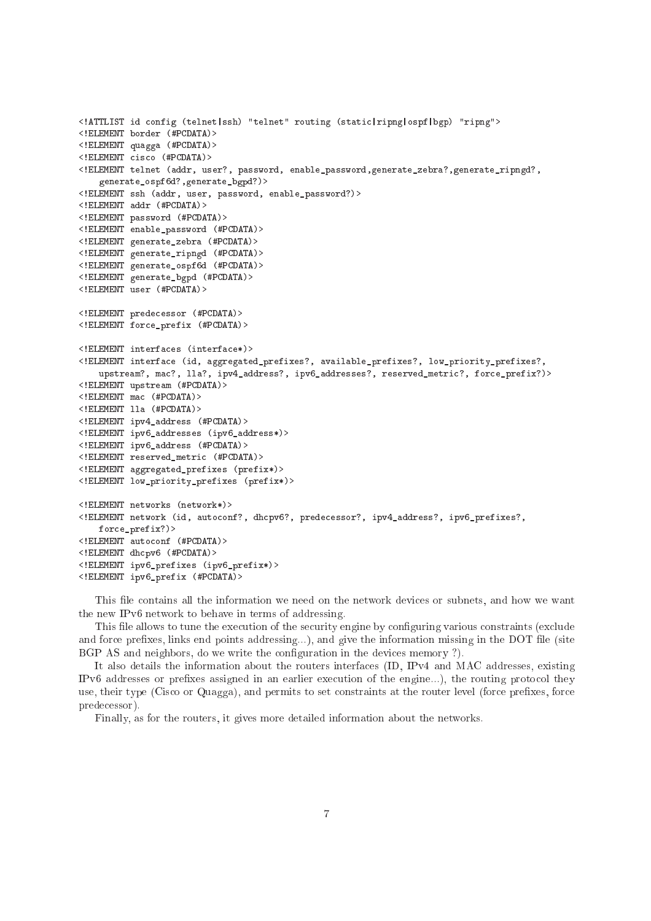```
<!ATTLIST id 
onfig (telnet|ssh) "telnet" routing (stati
|ripng|ospf|bgp) "ripng">
<!ELEMENT border (#PCDATA)>
<!ELEMENT quagga (#PCDATA)>
<!ELEMENT 
is
o (#PCDATA)>
<!ELEMENT telnet (addr, user?, password, enable_password,generate_zebra?,generate_ripngd?,
   generate_ospf6d?,generate_bgpd?)>
<!ELEMENT ssh (addr, user, password, enable_password?)>
<!ELEMENT addr (#PCDATA)>
<!ELEMENT password (#PCDATA)>
<!ELEMENT enable_password (#PCDATA)>
<!ELEMENT generate_zebra (#PCDATA)>
<!ELEMENT generate_ripngd (#PCDATA)>
<!ELEMENT generate_ospf6d (#PCDATA)>
<!ELEMENT generate_bgpd (#PCDATA)>
<!ELEMENT user (#PCDATA)>
<!ELEMENT prede
essor (#PCDATA)>
<!ELEMENT for
e_prefix (#PCDATA)>
<!ELEMENT interfa
es (interfa
e*)>
<!ELEMENT interfa
e (id, aggregated_prefixes?, available_prefixes?, low_priority_prefixes?,
   upstream?, mac?, lla?, ipv4_address?, ipv6_addresses?, reserved_metric?, force_prefix?)>
<!ELEMENT upstream (#PCDATA)>
<!ELEMENT ma
 (#PCDATA)>
<!ELEMENT lla (#PCDATA)>
<!ELEMENT ipv4_address (#PCDATA)>
<!ELEMENT ipv6_addresses (ipv6_address*)>
<!ELEMENT ipv6_address (#PCDATA)>
<!ELEMENT reserved_metri
 (#PCDATA)>
<!ELEMENT aggregated_prefixes (prefix*)>
<!ELEMENT low_priority_prefixes (prefix*)>
<!ELEMENT networks (network*)>
<!ELEMENT network (id, auto
onf?, dh
pv6?, prede
essor?, ipv4_address?, ipv6_prefixes?,
   for
e_prefix?)>
<!ELEMENT auto
onf (#PCDATA)>
<!ELEMENT dh
pv6 (#PCDATA)>
<!ELEMENT ipv6_prefixes (ipv6_prefix*)>
<!ELEMENT ipv6_prefix (#PCDATA)>
```
This file contains all the information we need on the network devices or subnets, and how we want the new IPv6 network to behave in terms of addressing.

This file allows to tune the execution of the security engine by configuring various constraints (exclude and force prefixes, links end points addressing...), and give the information missing in the DOT file (site BGP AS and neighbors, do we write the configuration in the devices memory ?).

It also details the information about the routers interfa
es (ID, IPv4 and MAC addresses, existing IPv6 addresses or prefixes assigned in an earlier execution of the engine...), the routing protocol they use, their type (Cisco or Quagga), and permits to set constraints at the router level (force prefixes, force prede
essor).

Finally, as for the routers, it gives more detailed information about the networks.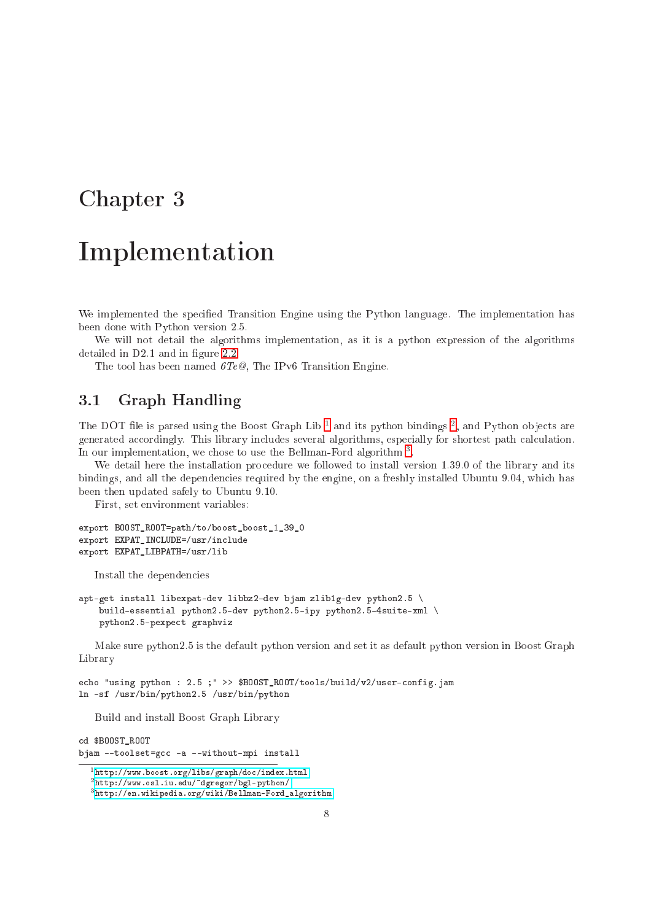## <span id="page-10-0"></span>Implementation

We implemented the specified Transition Engine using the Python language. The implementation has been done with Python version 2.5.

We will not detail the algorithms implementation, as it is a python expression of the algorithms detailed in  $D2.1$  and in figure [2.2.](#page-6-0)

The tool has been named  $6Te@$ , The IPv6 Transition Engine.

#### <span id="page-10-1"></span>3.1Graph Handling

The DOT life is parsed using the Doost Graph Lib and its python bindings, and Python objects are generated accordingly. This library includes several algorithms, especially for shortest path calculation. In our implementation, we chose to use the Bellman-Ford algorithm <sup>-</sup>.

We detail here the installation procedure we followed to install version 1.39.0 of the library and its bindings, and all the dependencies required by the engine, on a freshly installed Ubuntu 9.04, which has been then updated safely to Ubuntu 9.10.

First, set environment variables:

```
export BOOST_ROOT=path/to/boost_boost_1_39_0
export EXPAT_INCLUDE=/usr/in
lude
export EXPAT_LIBPATH=/usr/lib
```
Install the dependen
ies

```
apt-get install libexpat-dev libbz2-dev bjam zlib1g-dev python2.5 \
   build-essential python2.5-dev python2.5-ipy python2.5-4suite-xml \
   python2.5-pexpe
t graphviz
```
Make sure python2.5 is the default python version and set it as default python version in Boost Graph Library

```
echo "using python : 2.5 ;" >> $BOOST_ROOT/tools/build/v2/user-config.jam
ln -sf /usr/bin/python2.5 /usr/bin/python
```
Build and install Boost Graph Library

```
cd $B00ST R00T
d $BOOST_Property and $BOOST_Property and $BOOST_Property and $BOOSTL
bjam --toolset=gcc -a --without-mpi install
```
<sup>-</sup>nttp://www.boost.org/11bs/graph/doc/index.html

<span id="page-10-2"></span><sup>2</sup> <http://www.osl.iu.edu/~dgregor/bgl-python/>

<span id="page-10-4"></span><span id="page-10-3"></span><sup>3</sup> [http://en.wikipedia.org/wiki/Bellman-Ford\\_algorithm](http://en.wikipedia.org/wiki/Bellman-Ford_algorithm)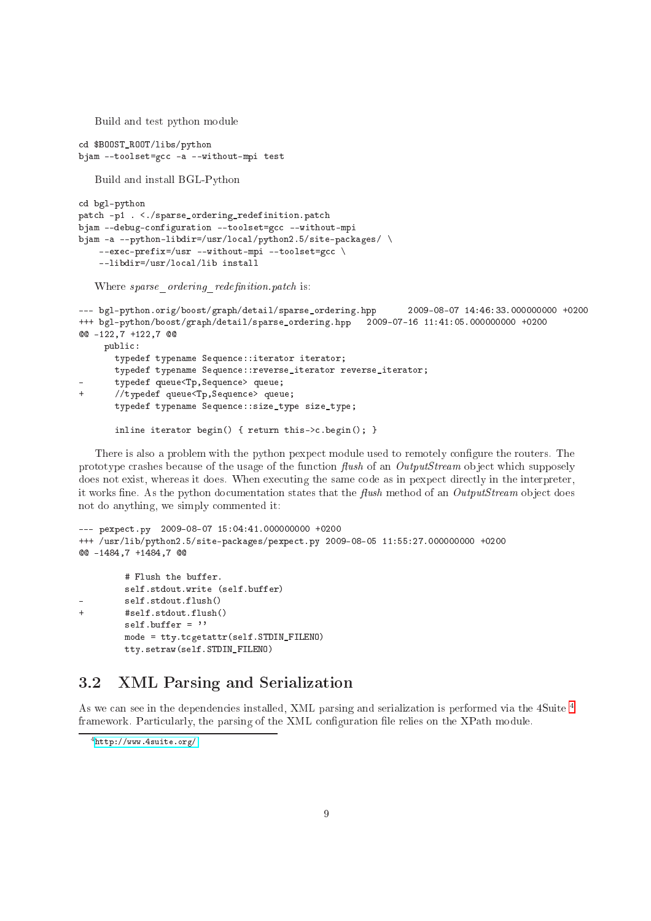Build and test python module

```

d $BOOST_ROOT/libs/python
bjam --toolset=gcc -a --without-mpi test
```
Build and install BGL-Python

```

d bgl-python
patch -p1 . <./sparse_ordering_redefinition.patch
bjam --debug-configuration --toolset=gcc --without-mpi
bjam -a --python-libdir=/usr/local/python2.5/site-packages/\
    --exec-prefix=/usr --without-mpi --toolset=gcc \
    --libdir=/usr/lo
al/lib install
```
Where sparse ordering redefinition.patch is:

```
--- bgl-python.orig/boost/graph/detail/sparse_ordering.hpp 2009-08-07 14:46:33.000000000 +0200
+++ bgl-python/boost/graph/detail/sparse_ordering.hpp 2009-07-16 11:41:05.000000000 +0200
00 -122,7 +122,7 00
    publi
:
       typedef typename Sequence::iterator iterator;
       typedef typename Sequence::reverse_iterator reverse_iterator;
       typedef queue<Tp, Sequence> queue;
\overline{+}//typedef queue<Tp, Sequence> queue;
       typedef typename Sequen
e::size_type size_type;
```
inline iterator begin() { return this->
.begin(); }

There is also a problem with the python pexpect module used to remotely configure the routers. The prototype crashes because of the usage of the function flush of an OutputStream object which supposely does not exist, whereas it does. When executing the same code as in pexpect directly in the interpreter, it works fine. As the python documentation states that the flush method of an  $Output$ Stream object does not do anything, we simply ommented it:

```
--- pexpe
t.py 2009-08-07 15:04:41.000000000 +0200
+++ /usr/lib/python2.5/site-pa
kages/pexpe
t.py 2009-08-05 11:55:27.000000000 +0200
00 -1484,7 +1484,7 00
         # Flush the buffer.
         self.stdout.write (self.buffer)
```

```
self.stdout.flush()
\overline{1}+ #self.stdout.flush()
          self.buffer = ''
          mode = tty.t
getattr(self.STDIN_FILENO)
          tty.setraw(self.STDIN_FILENO)
```
#### <span id="page-11-0"></span>3.2XML Parsing and Serialization

As we can see in the dependencies installed, XML parsing and serialization is performed via the [4](#page-11-1)Suite 4 framework. Particularly, the parsing of the XML configuration file relies on the XPath module.

<span id="page-11-1"></span><sup>4</sup> <http://www.4suite.org/>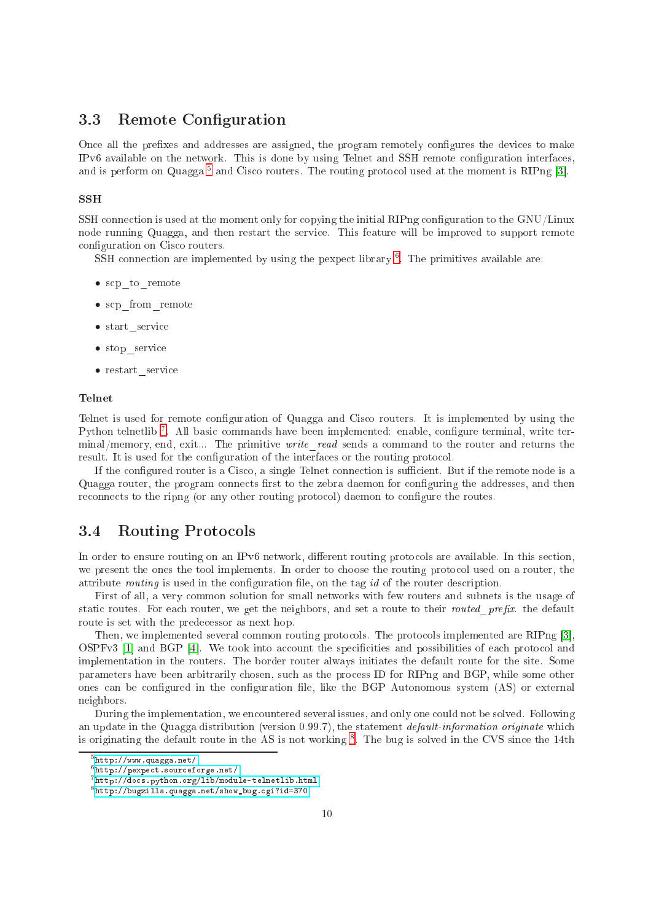#### <span id="page-12-0"></span>3.3Remote Configuration

Once all the prefixes and addresses are assigned, the program remotely configures the devices to make IPv6 available on the network. This is done by using Telnet and SSH remote configuration interfaces, and is perform on Quagga – and Cisco routers. The routing protocol used at the moment is KIPng [3].

### **SSH**

SSH connection is used at the moment only for copying the initial RIPng configuration to the GNU/Linux node running Quagga, and then restart the servi
e. This feature will be improved to support remote configuration on Cisco routers.

SSH connection are implemented by using the pexpect horary for the primitives available are:

- scp to remote
- scp\_from\_remote
- start service
- stop\_servi
e
- restart service

### Telnet

Telnet is used for remote configuration of Quagga and Cisco routers. It is implemented by using the Python teinethd — All basic commands have been implemented: enable, configure terminal, write terminal/memory, end, exit... The primitive *write* read sends a command to the router and returns the result. It is used for the configuration of the interfaces or the routing protocol.

If the configured router is a Cisco, a single Telnet connection is sufficient. But if the remote node is a Quagga router, the program connects first to the zebra daemon for configuring the addresses, and then reconnects to the ripng (or any other routing protocol) daemon to configure the routes.

### <span id="page-12-1"></span>3.4 Routing Protocols

In order to ensure routing on an IPv6 network, different routing protocols are available. In this section, we present the ones the tool implements. In order to choose the routing protocol used on a router, the attribute *routing* is used in the configuration file, on the tag *id* of the router description.

First of all, a very ommon solution for small networks with few routers and subnets is the usage of static routes. For each router, we get the neighbors, and set a route to their routed prefix. the default route is set with the prede
essor as next hop.

Then, we implemented several common routing protocols. The protocols implemented are RIPng [3], OSPFv3  $[1]$  and BGP  $[4]$ . We took into account the specificities and possibilities of each protocol and implementation in the routers. The border router always initiates the default route for the site. Some parameters have been arbitrarily chosen, such as the process ID for RIPng and BGP, while some other ones can be configured in the configuration file, like the BGP Autonomous system (AS) or external neighbors.

During the implementation, we encountered several issues, and only one could not be solved. Following an update in the Quagga distribution (version 0.99.7), the statement *default-information originate* which is originating the default route in the AS is not working  $\cdot$  . The bug is solved in the CVS since the 14th

<sup>5</sup> <http://www.quagga.net/>

<span id="page-12-2"></span><sup>·</sup>nττp://pexpecτ.sourcerorge.neτ/

<span id="page-12-3"></span><sup>7</sup> [http://do
s.python.org/lib/module-telnetlib.html](http://docs.python.org/lib/module-telnetlib.html)

<span id="page-12-5"></span><span id="page-12-4"></span><sup>8</sup> [http://bugzilla.quagga.net/show\\_bug.
gi?id=370](http://bugzilla.quagga.net/show_bug.cgi?id=370)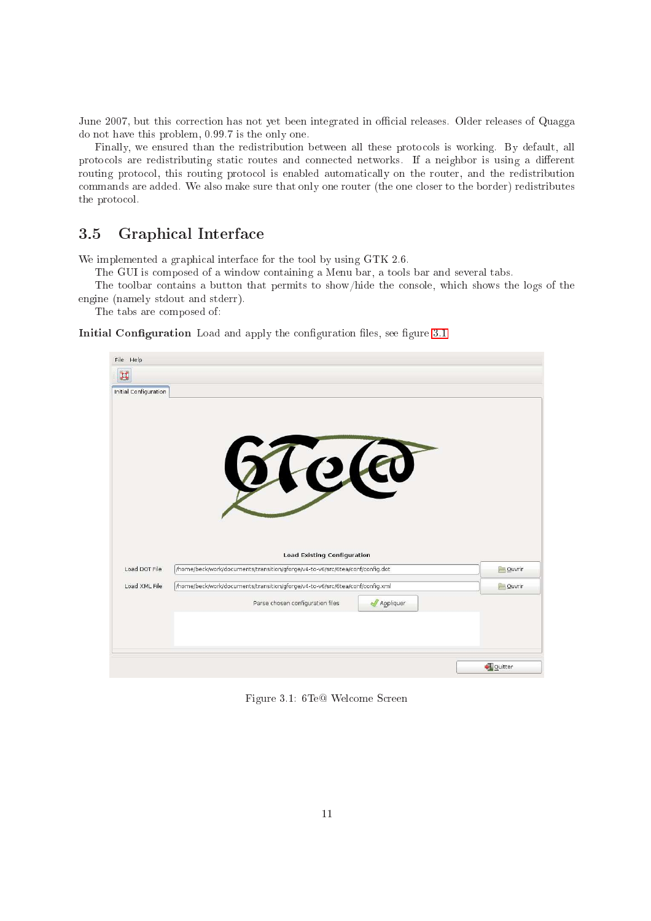June 2007, but this correction has not yet been integrated in official releases. Older releases of Quagga do not have this problem, 0.99.7 is the only one.

Finally, we ensured than the redistribution between all these protocols is working. By default, all protocols are redistributing static routes and connected networks. If a neighbor is using a different routing protocol, this routing protocol is enabled automatically on the router, and the redistribution commands are added. We also make sure that only one router (the one closer to the border) redistributes the protocol.

#### <span id="page-13-0"></span>3.5Graphi
al Interfa
e

We implemented a graphical interface for the tool by using GTK 2.6.

The GUI is omposed of a window ontaining a Menu bar, a tools bar and several tabs.

The toolbar contains a button that permits to show/hide the console, which shows the logs of the engine (namely stdout and stderr).

The tabs are omposed of:

Initial Configuration Load and apply the configuration files, see figure [3.1](#page-13-1)

| File Help             |                                                                                                                     |               |
|-----------------------|---------------------------------------------------------------------------------------------------------------------|---------------|
| H                     |                                                                                                                     |               |
| Initial Configuration |                                                                                                                     |               |
|                       |                                                                                                                     |               |
|                       |                                                                                                                     |               |
|                       |                                                                                                                     |               |
|                       |                                                                                                                     |               |
|                       | Telo                                                                                                                |               |
|                       |                                                                                                                     |               |
|                       |                                                                                                                     |               |
|                       |                                                                                                                     |               |
|                       |                                                                                                                     |               |
|                       |                                                                                                                     |               |
| Load DOT File         | <b>Load Existing Configuration</b><br>/home/beck/work/documents/transition/gforge/v4-to-v6/src/6tea/conf/config.dot | <b>Ouvrir</b> |
|                       |                                                                                                                     |               |
| Load XML File         | /home/beck/work/documents/transition/gforge/v4-to-v6/src/6tea/conf/config.xml                                       | Quvrir        |
|                       | Parse chosen configuration files<br>Appliquer                                                                       |               |
|                       |                                                                                                                     |               |
|                       |                                                                                                                     |               |
|                       |                                                                                                                     |               |
|                       |                                                                                                                     | Quitter       |

<span id="page-13-1"></span>Figure 3.1: 6Te@ Welcome Screen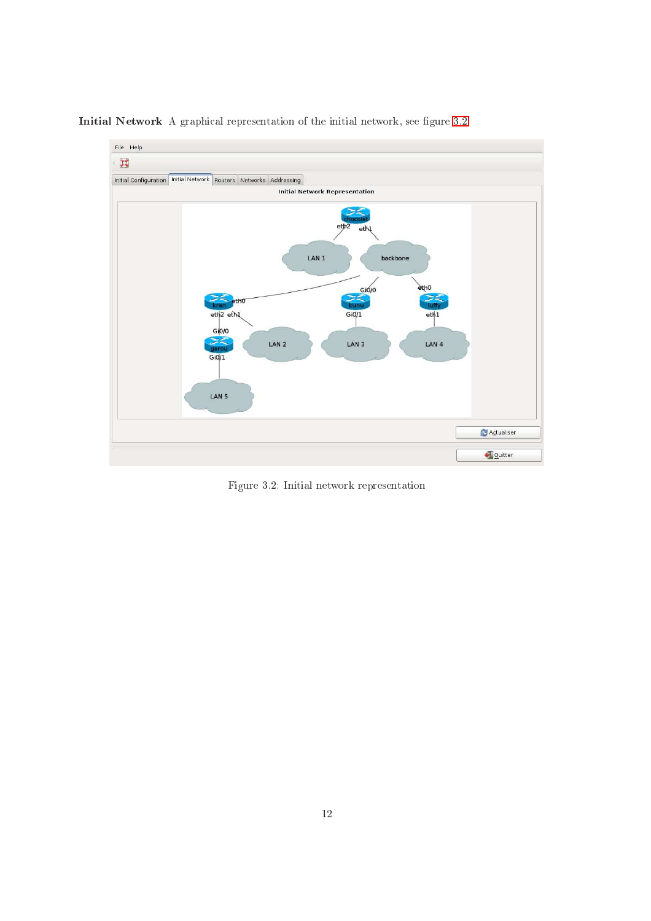

Initial Network A graphical representation of the initial network, see figure [3.2](#page-14-0)

<span id="page-14-0"></span>Figure 3.2: Initial network representation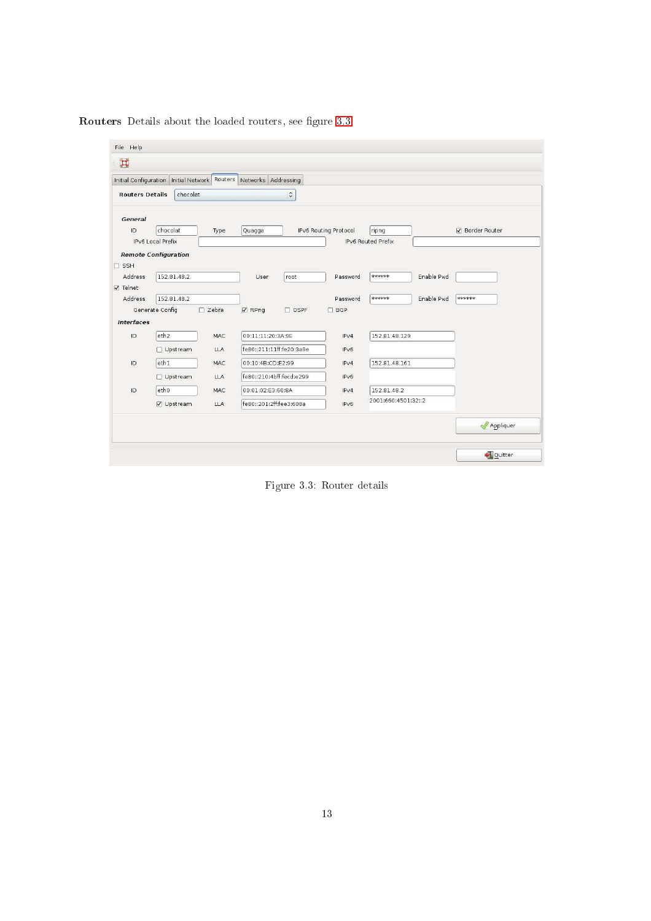|                        | Initial Configuration   Initial Network   Routers   Networks   Addressing |                    |                          |                          |                       |                     |            |                        |
|------------------------|---------------------------------------------------------------------------|--------------------|--------------------------|--------------------------|-----------------------|---------------------|------------|------------------------|
| <b>Routers Details</b> | chocolat                                                                  |                    |                          | $\hat{\cdot}$            |                       |                     |            |                        |
| General                |                                                                           |                    |                          |                          |                       |                     |            |                        |
| ID.                    | chocolat<br>Type                                                          |                    | Quagga                   |                          | IPv6 Routing Protocol | ripng               |            | <b>☑</b> Border Router |
| IPv6 Local Prefix      |                                                                           | IPv6 Routed Prefix |                          |                          |                       |                     |            |                        |
|                        | <b>Remote Configuration</b>                                               |                    |                          |                          |                       |                     |            |                        |
| $\Box$ SSH             |                                                                           |                    |                          |                          |                       |                     |            |                        |
| <b>Address</b>         | 152.81.48.2                                                               |                    | <b>User</b>              | root                     | Password              | Nototototok         | Enable Pwd |                        |
| <b>☑</b> Telnet        |                                                                           |                    |                          |                          |                       |                     |            |                        |
| Address                | 152.81.48.2                                                               |                    |                          |                          | Password              | stolojojoje.        | Enable Pwd | ******                 |
|                        | Generate Config                                                           | $\Box$ Zebra       | $\nabla$ RiPng           | $\Box$ OSPF              | $\Box$ BGP            |                     |            |                        |
| <b>Interfaces</b>      |                                                                           |                    |                          |                          |                       |                     |            |                        |
| ID                     | eth <sub>2</sub>                                                          | MAC                | 00:11:11:20:3A:9E        |                          | IPv4                  | 152.81.48.129       |            |                        |
|                        | □ Upstream                                                                | <b>LLA</b>         |                          | fe80::211:11ff:fe20:3a9e | IPV6                  |                     |            |                        |
| ID.                    | eth1                                                                      | MAC                | 00:10:4B:CD:E2:99        |                          | IPV4                  | 152.81.48.161       |            |                        |
|                        | □ Upstream                                                                | <b>LLA</b>         | fe80::210:4bff:fecd:e299 |                          | IPV6                  |                     |            |                        |
|                        | etho                                                                      | MAC                | 00:01:02:E3:60:8A        |                          | IPV4                  | 152.81.48.2         |            |                        |
|                        |                                                                           |                    |                          |                          |                       | 2001:660:4501:32::2 |            |                        |
| ID.                    | √ Upstream                                                                | <b>LLA</b>         | fe80::201:2ff:fee3:608a  |                          | IPV6                  |                     |            |                        |

Routers Details about the loaded routers, see figure [3.3](#page-15-0)

<span id="page-15-0"></span>Figure 3.3: Router details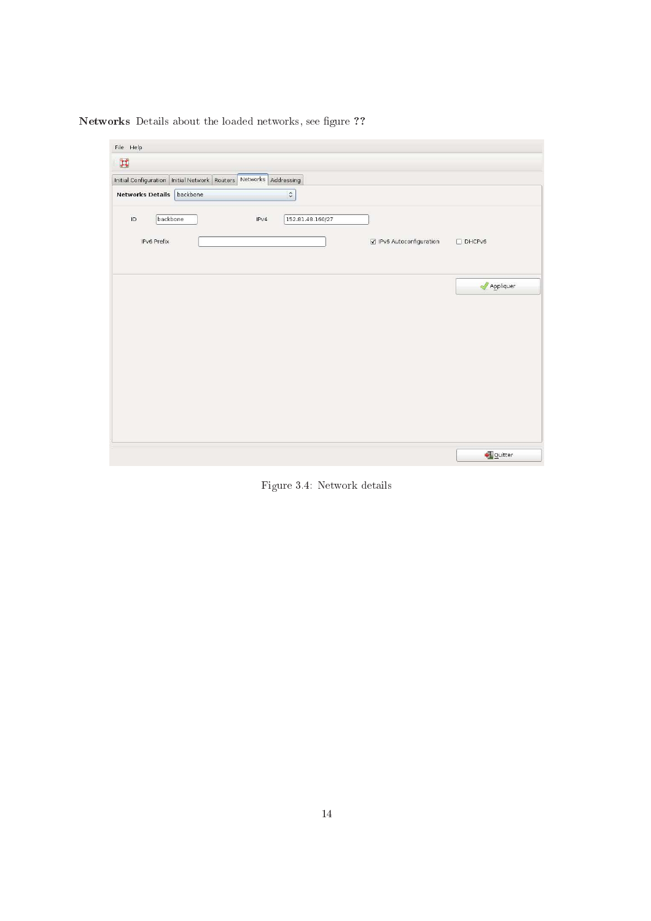Networks Details about the loaded networks, see figure ??

| File Help               |                                                                           |      |                  |                          |                             |
|-------------------------|---------------------------------------------------------------------------|------|------------------|--------------------------|-----------------------------|
| $\blacksquare$          |                                                                           |      |                  |                          |                             |
|                         | Initial Configuration   Initial Network   Routers   Networks   Addressing |      |                  |                          |                             |
| <b>Networks Details</b> | backbone                                                                  |      | $\ddot{\circ}$   |                          |                             |
| $\overline{D}$          | backbone                                                                  | IPv4 | 152.81.48.160/27 |                          |                             |
|                         |                                                                           |      |                  |                          |                             |
| IPv6 Prefix             |                                                                           |      |                  | ☑ IPv6 Autoconfiguration | $D$ DHCPv6                  |
|                         |                                                                           |      |                  |                          |                             |
|                         |                                                                           |      |                  |                          | $\sqrt{\sqrt{2}}$ Appliquer |
|                         |                                                                           |      |                  |                          |                             |
|                         |                                                                           |      |                  |                          |                             |
|                         |                                                                           |      |                  |                          |                             |
|                         |                                                                           |      |                  |                          |                             |
|                         |                                                                           |      |                  |                          |                             |
|                         |                                                                           |      |                  |                          |                             |
|                         |                                                                           |      |                  |                          |                             |
|                         |                                                                           |      |                  |                          |                             |
|                         |                                                                           |      |                  |                          |                             |
|                         |                                                                           |      |                  |                          | Quitter                     |
|                         |                                                                           |      |                  |                          |                             |

Figure 3.4: Network details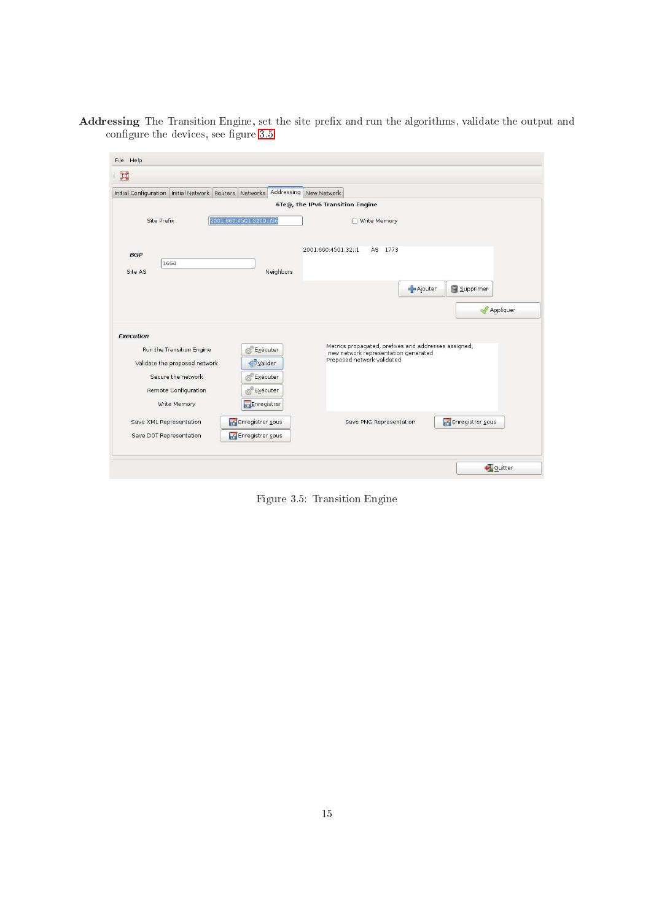Addressing The Transition Engine, set the site prefix and run the algorithms, validate the output and configure the devices, see figure [3.5](#page-17-0)

| File Help                                              |                                                                                              |
|--------------------------------------------------------|----------------------------------------------------------------------------------------------|
| $\Xi$                                                  |                                                                                              |
| Initial Configuration Initial Network Routers Networks | Addressing New Network                                                                       |
|                                                        | 6Te@, the IPv6 Transition Engine                                                             |
| 2001:660:4501:3200::/56<br>Site Prefix                 | □ Write Memory                                                                               |
|                                                        |                                                                                              |
| <b>BGP</b><br>1664                                     | 2001:660:4501:32::1<br>AS 1773                                                               |
| Site AS                                                | Neighbors                                                                                    |
|                                                        | - Ajouter<br>Supprimer                                                                       |
|                                                        | Appliquer                                                                                    |
| Execution                                              |                                                                                              |
| Run the Transition Engine<br>Exécuter<br>荷             | Metrics propagated, prefixes and addresses assigned,<br>new network representation generated |
| Valider<br>Validate the proposed network               | Proposed network validated                                                                   |
| Secure the network<br><b>Exécuter</b>                  |                                                                                              |
| Remote Configuration<br><b>Exécuter</b>                |                                                                                              |
| Write Memory<br>Enregistrer                            |                                                                                              |
| Enregistrer sous<br>Save XML Representation            | Enregistrer sous<br>Save PNG Representation                                                  |
| Enregistrer sous<br>Save DOT Representation            |                                                                                              |
|                                                        |                                                                                              |
|                                                        | Quitter                                                                                      |

<span id="page-17-0"></span>Figure 3.5: Transition Engine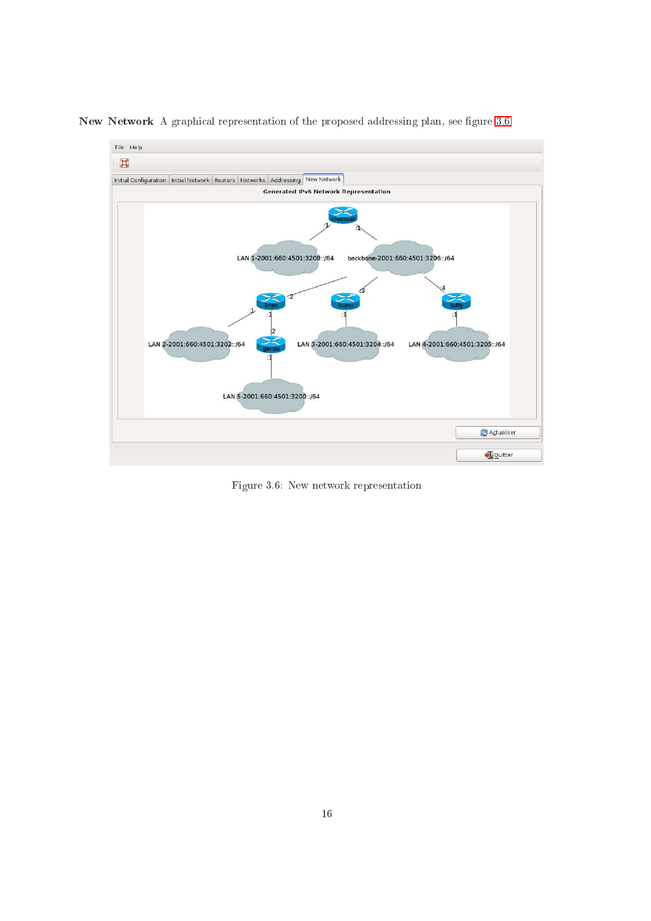

New Network A graphical representation of the proposed addressing plan, see figure [3.6](#page-18-0)

<span id="page-18-0"></span>Figure 3.6: New network representation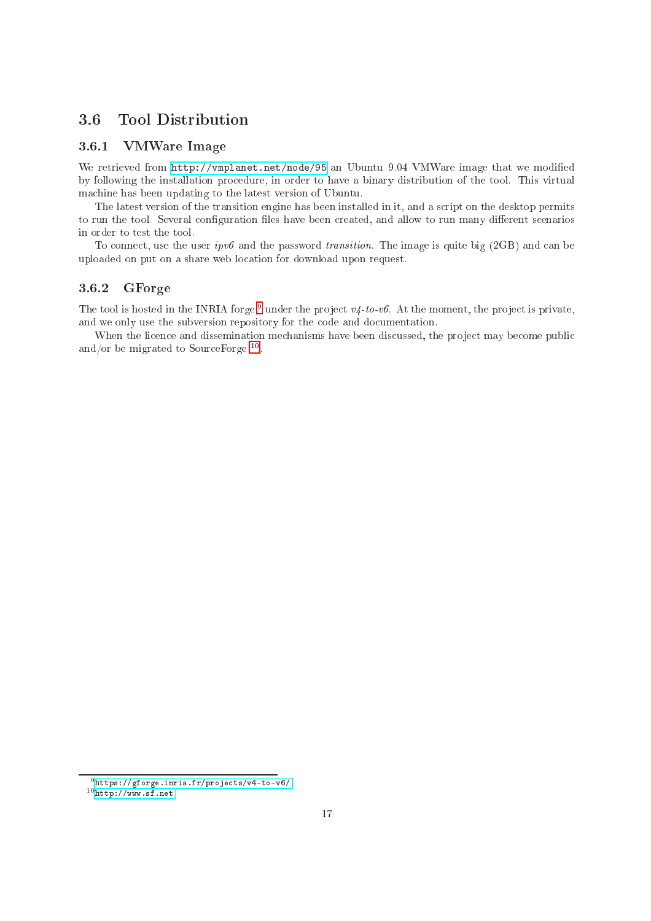#### <span id="page-19-1"></span><span id="page-19-0"></span> $3.6$ Tool Distribution

#### 3.6.1VMWare Image

We retrieved from <http://vmplanet.net/node/95> an Ubuntu 9.04 VMWare image that we modified by following the installation pro
edure, in order to have a binary distribution of the tool. This virtual ma
hine has been updating to the latest version of Ubuntu.

The latest version of the transition engine has been installed in it, and a s
ript on the desktop permits to run the tool. Several configuration files have been created, and allow to run many different scenarios in order to test the tool.

To connect, use the user  $ipv\delta$  and the password transition. The image is quite big (2GB) and can be uploaded on put on a share web location for download upon request.

#### <span id="page-19-2"></span>3.6.2GForge

The tool is hosted in the INRIA forge – under the project  $v_4$ -to-vo. At the moment, the project is private, and we only use the subversion repository for the code and documentation.

When the licence and dissemination mechanisms have been discussed, the project may become public and/or be migrated to sourcerorge  $\cdots$ 

<sup>9</sup> [https://gforge.inria.fr/proje
ts/v4-to-v6/](https://gforge.inria.fr/projects/v4-to-v6/)

<span id="page-19-4"></span><span id="page-19-3"></span>nttp://www.si.net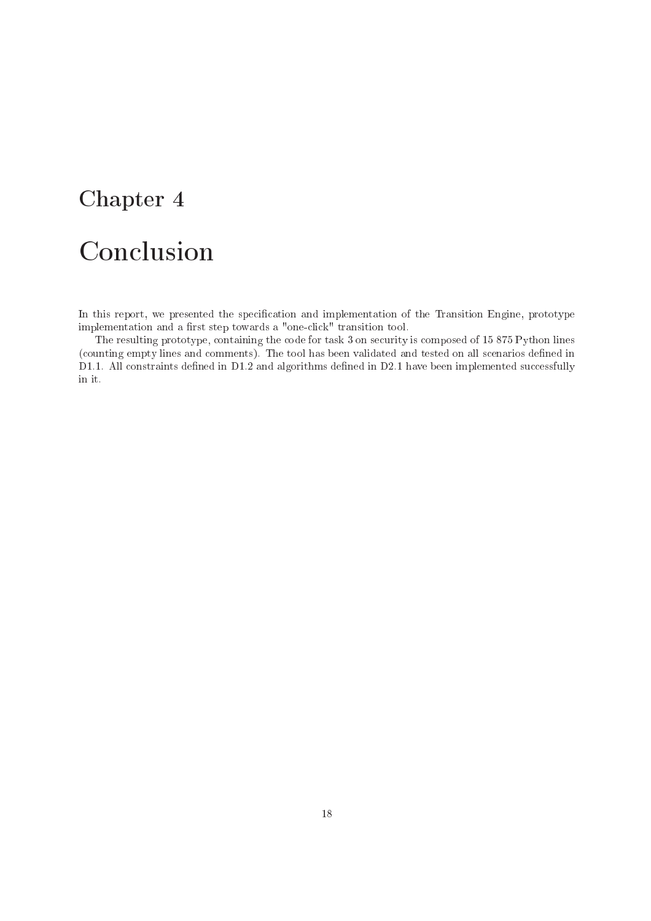# <span id="page-20-0"></span>**Conclusion**

In this report, we presented the specification and implementation of the Transition Engine, prototype implementation and a first step towards a "one-click" transition tool.

The resulting prototype, ontaining the ode for task 3 on se
urity is omposed of 15 875 Python lines (counting empty lines and comments). The tool has been validated and tested on all scenarios defined in D1.1. All constraints defined in D1.2 and algorithms defined in D2.1 have been implemented successfully in it.